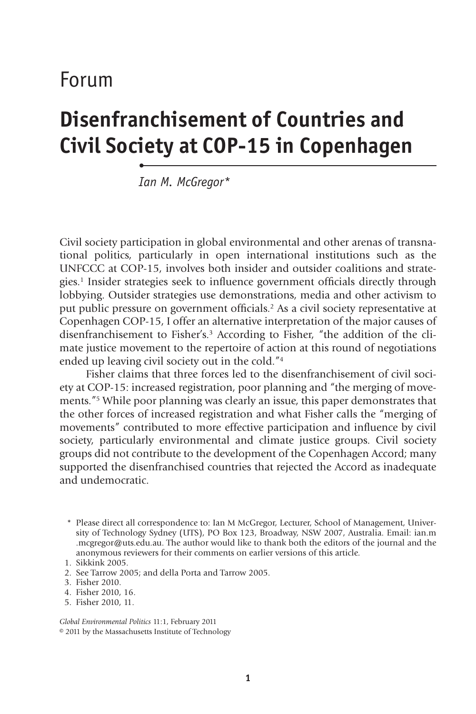# Forum

# **Disenfranchisement of Countries and Civil Society at COP-15 in Copenhagen**

*Ian M. McGregor\**

•

Civil society participation in global environmental and other arenas of transnational politics, particularly in open international institutions such as the UNFCCC at COP-15, involves both insider and outsider coalitions and strategies.<sup>1</sup> Insider strategies seek to influence government officials directly through lobbying. Outsider strategies use demonstrations, media and other activism to put public pressure on government officials.<sup>2</sup> As a civil society representative at Copenhagen COP-15, I offer an alternative interpretation of the major causes of disenfranchisement to Fisher's.3 According to Fisher, "the addition of the climate justice movement to the repertoire of action at this round of negotiations ended up leaving civil society out in the cold."4

Fisher claims that three forces led to the disenfranchisement of civil society at COP-15: increased registration, poor planning and "the merging of movements."5 While poor planning was clearly an issue, this paper demonstrates that the other forces of increased registration and what Fisher calls the "merging of movements" contributed to more effective participation and influence by civil society, particularly environmental and climate justice groups. Civil society groups did not contribute to the development of the Copenhagen Accord; many supported the disenfranchised countries that rejected the Accord as inadequate and undemocratic.

- \* Please direct all correspondence to: Ian M McGregor, Lecturer, School of Management, University of Technology Sydney (UTS), PO Box 123, Broadway, NSW 2007, Australia. Email: ian.m .mcgregor@uts.edu.au. The author would like to thank both the editors of the journal and the anonymous reviewers for their comments on earlier versions of this article.
- 1. Sikkink 2005.
- 2. See Tarrow 2005; and della Porta and Tarrow 2005.
- 3. Fisher 2010.
- 4. Fisher 2010, 16.
- 5. Fisher 2010, 11.

*Global Environmental Politics* 11:1, February 2011 © 2011 by the Massachusetts Institute of Technology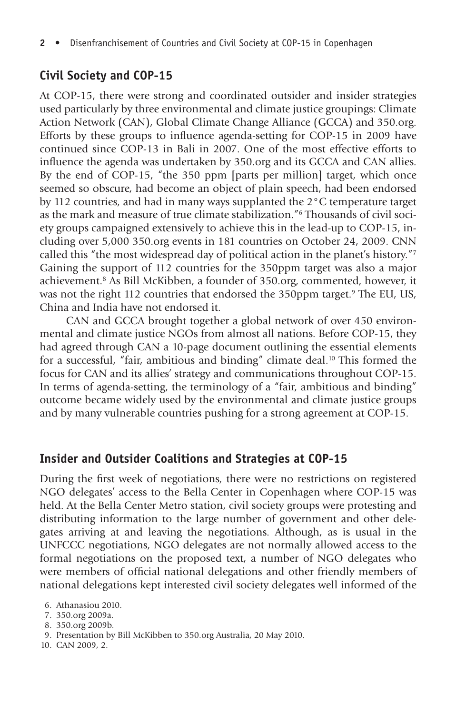## **Civil Society and COP-15**

At COP-15, there were strong and coordinated outsider and insider strategies used particularly by three environmental and climate justice groupings: Climate Action Network (CAN), Global Climate Change Alliance (GCCA) and 350.org. Efforts by these groups to influence agenda-setting for COP-15 in 2009 have continued since COP-13 in Bali in 2007. One of the most effective efforts to influence the agenda was undertaken by 350.org and its GCCA and CAN allies. By the end of COP-15, "the 350 ppm [parts per million] target, which once seemed so obscure, had become an object of plain speech, had been endorsed by 112 countries, and had in many ways supplanted the 2°C temperature target as the mark and measure of true climate stabilization."6 Thousands of civil society groups campaigned extensively to achieve this in the lead-up to COP-15, including over 5,000 350.org events in 181 countries on October 24, 2009. CNN called this "the most widespread day of political action in the planet's history."7 Gaining the support of 112 countries for the 350ppm target was also a major achievement.8 As Bill McKibben, a founder of 350.org, commented, however, it was not the right 112 countries that endorsed the 350ppm target.<sup>9</sup> The EU, US, China and India have not endorsed it.

CAN and GCCA brought together a global network of over 450 environmental and climate justice NGOs from almost all nations. Before COP-15, they had agreed through CAN a 10-page document outlining the essential elements for a successful, "fair, ambitious and binding" climate deal.10 This formed the focus for CAN and its allies' strategy and communications throughout COP-15. In terms of agenda-setting, the terminology of a "fair, ambitious and binding" outcome became widely used by the environmental and climate justice groups and by many vulnerable countries pushing for a strong agreement at COP-15.

#### **Insider and Outsider Coalitions and Strategies at COP-15**

During the first week of negotiations, there were no restrictions on registered NGO delegates' access to the Bella Center in Copenhagen where COP-15 was held. At the Bella Center Metro station, civil society groups were protesting and distributing information to the large number of government and other delegates arriving at and leaving the negotiations. Although, as is usual in the UNFCCC negotiations, NGO delegates are not normally allowed access to the formal negotiations on the proposed text, a number of NGO delegates who were members of official national delegations and other friendly members of national delegations kept interested civil society delegates well informed of the

- 7. 350.org 2009a.
- 8. 350.org 2009b.
- 9. Presentation by Bill McKibben to 350.org Australia, 20 May 2010.
- 10. CAN 2009, 2.

<sup>6.</sup> Athanasiou 2010.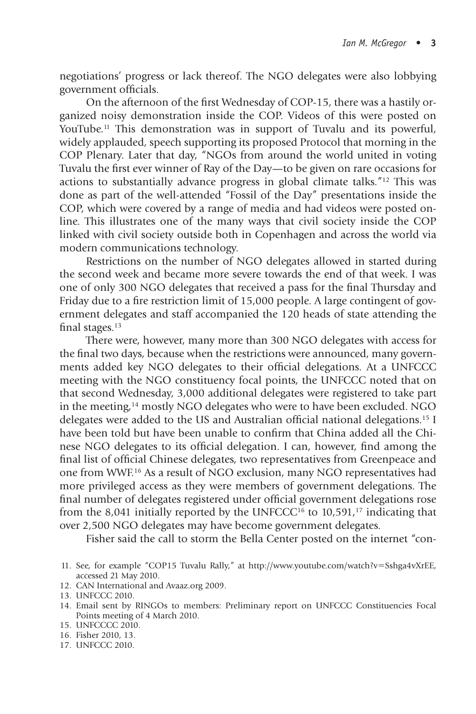negotiations' progress or lack thereof. The NGO delegates were also lobbying government officials.

On the afternoon of the first Wednesday of COP-15, there was a hastily organized noisy demonstration inside the COP. Videos of this were posted on YouTube.<sup>11</sup> This demonstration was in support of Tuvalu and its powerful, widely applauded, speech supporting its proposed Protocol that morning in the COP Plenary. Later that day, "NGOs from around the world united in voting Tuvalu the first ever winner of Ray of the Day—to be given on rare occasions for actions to substantially advance progress in global climate talks."12 This was done as part of the well-attended "Fossil of the Day" presentations inside the COP, which were covered by a range of media and had videos were posted online. This illustrates one of the many ways that civil society inside the COP linked with civil society outside both in Copenhagen and across the world via modern communications technology.

Restrictions on the number of NGO delegates allowed in started during the second week and became more severe towards the end of that week. I was one of only 300 NGO delegates that received a pass for the final Thursday and Friday due to a fire restriction limit of 15,000 people. A large contingent of government delegates and staff accompanied the 120 heads of state attending the final stages. $13$ 

There were, however, many more than 300 NGO delegates with access for the final two days, because when the restrictions were announced, many governments added key NGO delegates to their official delegations. At a UNFCCC meeting with the NGO constituency focal points, the UNFCCC noted that on that second Wednesday, 3,000 additional delegates were registered to take part in the meeting,14 mostly NGO delegates who were to have been excluded. NGO delegates were added to the US and Australian official national delegations.<sup>15</sup> I have been told but have been unable to confirm that China added all the Chinese NGO delegates to its official delegation. I can, however, find among the final list of official Chinese delegates, two representatives from Greenpeace and one from WWF.16 As a result of NGO exclusion, many NGO representatives had more privileged access as they were members of government delegations. The final number of delegates registered under official government delegations rose from the 8,041 initially reported by the UNFCCC<sup>16</sup> to  $10,591<sup>17</sup>$  indicating that over 2,500 NGO delegates may have become government delegates.

Fisher said the call to storm the Bella Center posted on the internet "con-

12. CAN International and Avaaz.org 2009.

15. UNFCCCC 2010.

17. UNFCCC 2010.

<sup>11.</sup> See, for example "COP15 Tuvalu Rally," at http://www.youtube.com/watch?v-Sshga4vXrEE, accessed 21 May 2010.

<sup>13.</sup> UNFCCC 2010.

<sup>14.</sup> Email sent by RINGOs to members: Preliminary report on UNFCCC Constituencies Focal Points meeting of 4 March 2010.

<sup>16.</sup> Fisher 2010, 13.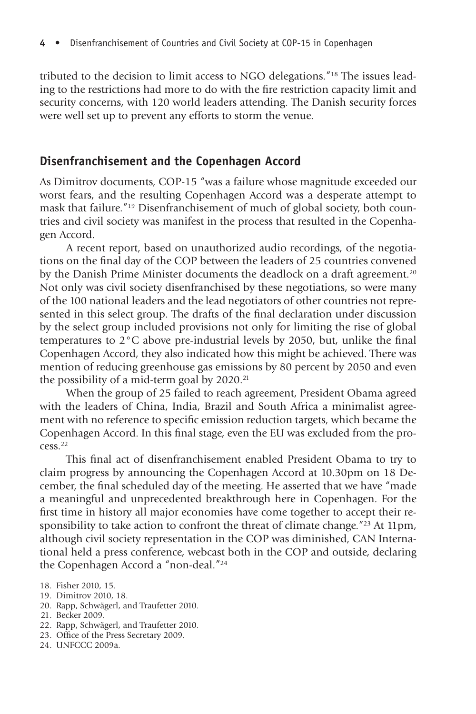tributed to the decision to limit access to NGO delegations."18 The issues leading to the restrictions had more to do with the fire restriction capacity limit and security concerns, with 120 world leaders attending. The Danish security forces were well set up to prevent any efforts to storm the venue.

#### **Disenfranchisement and the Copenhagen Accord**

As Dimitrov documents, COP-15 "was a failure whose magnitude exceeded our worst fears, and the resulting Copenhagen Accord was a desperate attempt to mask that failure."19 Disenfranchisement of much of global society, both countries and civil society was manifest in the process that resulted in the Copenhagen Accord.

A recent report, based on unauthorized audio recordings, of the negotiations on the final day of the COP between the leaders of 25 countries convened by the Danish Prime Minister documents the deadlock on a draft agreement.<sup>20</sup> Not only was civil society disenfranchised by these negotiations, so were many of the 100 national leaders and the lead negotiators of other countries not represented in this select group. The drafts of the final declaration under discussion by the select group included provisions not only for limiting the rise of global temperatures to  $2^{\circ}$ C above pre-industrial levels by 2050, but, unlike the final Copenhagen Accord, they also indicated how this might be achieved. There was mention of reducing greenhouse gas emissions by 80 percent by 2050 and even the possibility of a mid-term goal by  $2020$ .<sup>21</sup>

When the group of 25 failed to reach agreement, President Obama agreed with the leaders of China, India, Brazil and South Africa a minimalist agreement with no reference to specific emission reduction targets, which became the Copenhagen Accord. In this final stage, even the EU was excluded from the process.22

This final act of disenfranchisement enabled President Obama to try to claim progress by announcing the Copenhagen Accord at 10.30pm on 18 December, the final scheduled day of the meeting. He asserted that we have "made a meaningful and unprecedented breakthrough here in Copenhagen. For the first time in history all major economies have come together to accept their responsibility to take action to confront the threat of climate change."23 At 11pm, although civil society representation in the COP was diminished, CAN International held a press conference, webcast both in the COP and outside, declaring the Copenhagen Accord a "non-deal."24

- 19. Dimitrov 2010, 18.
- 20. Rapp, Schwägerl, and Traufetter 2010.
- 21. Becker 2009.
- 22. Rapp, Schwägerl, and Traufetter 2010.
- 23. Office of the Press Secretary 2009.
- 24. UNFCCC 2009a.

<sup>18.</sup> Fisher 2010, 15.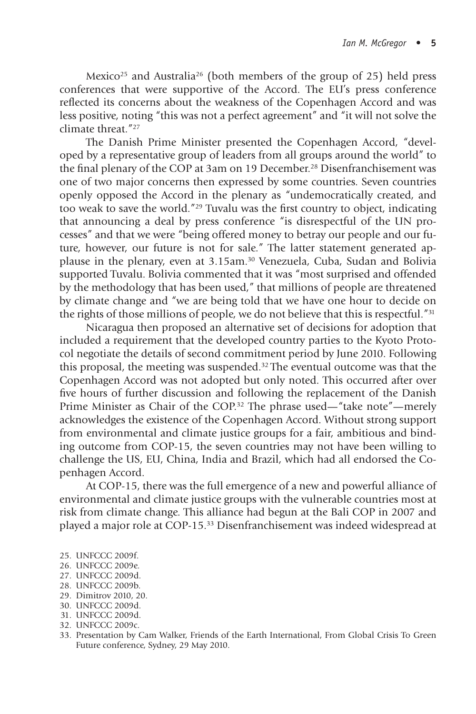Mexico<sup>25</sup> and Australia<sup>26</sup> (both members of the group of 25) held press conferences that were supportive of the Accord. The EU's press conference reflected its concerns about the weakness of the Copenhagen Accord and was less positive, noting "this was not a perfect agreement" and "it will not solve the climate threat<sup>"27</sup>

The Danish Prime Minister presented the Copenhagen Accord, "developed by a representative group of leaders from all groups around the world" to the final plenary of the COP at 3am on 19 December.<sup>28</sup> Disenfranchisement was one of two major concerns then expressed by some countries. Seven countries openly opposed the Accord in the plenary as "undemocratically created, and too weak to save the world."<sup>29</sup> Tuvalu was the first country to object, indicating that announcing a deal by press conference "is disrespectful of the UN processes" and that we were "being offered money to betray our people and our future, however, our future is not for sale." The latter statement generated applause in the plenary, even at 3.15am.30 Venezuela, Cuba, Sudan and Bolivia supported Tuvalu. Bolivia commented that it was "most surprised and offended by the methodology that has been used," that millions of people are threatened by climate change and "we are being told that we have one hour to decide on the rights of those millions of people, we do not believe that this is respectful."31

Nicaragua then proposed an alternative set of decisions for adoption that included a requirement that the developed country parties to the Kyoto Protocol negotiate the details of second commitment period by June 2010. Following this proposal, the meeting was suspended.32 The eventual outcome was that the Copenhagen Accord was not adopted but only noted. This occurred after over five hours of further discussion and following the replacement of the Danish Prime Minister as Chair of the COP.32 The phrase used—"take note"—merely acknowledges the existence of the Copenhagen Accord. Without strong support from environmental and climate justice groups for a fair, ambitious and binding outcome from COP-15, the seven countries may not have been willing to challenge the US, EU, China, India and Brazil, which had all endorsed the Copenhagen Accord.

At COP-15, there was the full emergence of a new and powerful alliance of environmental and climate justice groups with the vulnerable countries most at risk from climate change. This alliance had begun at the Bali COP in 2007 and played a major role at COP-15.33 Disenfranchisement was indeed widespread at

- 25. UNFCCC 2009f.
- 26. UNFCCC 2009e.
- 27. UNFCCC 2009d.
- 28. UNFCCC 2009b.
- 29. Dimitrov 2010, 20.
- 30. UNFCCC 2009d.
- 31. UNFCCC 2009d.
- 32. UNFCCC 2009c.
- 33. Presentation by Cam Walker, Friends of the Earth International, From Global Crisis To Green Future conference, Sydney, 29 May 2010.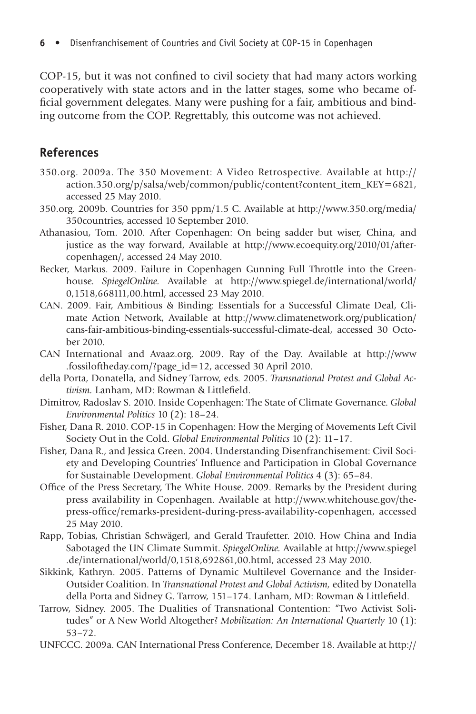$COP-15$ , but it was not confined to civil society that had many actors working cooperatively with state actors and in the latter stages, some who became official government delegates. Many were pushing for a fair, ambitious and binding outcome from the COP. Regrettably, this outcome was not achieved.

### **References**

- 350.org. 2009a. The 350 Movement: A Video Retrospective. Available at http:// action.350.org/p/salsa/web/common/public/content?content\_item\_KEY-6821, accessed 25 May 2010.
- 350.org. 2009b. Countries for 350 ppm/1.5 C. Available at http://www.350.org/media/ 350countries, accessed 10 September 2010.
- Athanasiou, Tom. 2010. After Copenhagen: On being sadder but wiser, China, and justice as the way forward, Available at http://www.ecoequity.org/2010/01/aftercopenhagen/, accessed 24 May 2010.
- Becker, Markus. 2009. Failure in Copenhagen Gunning Full Throttle into the Greenhouse. *SpiegelOnline.* Available at http://www.spiegel.de/international/world/ 0,1518,668111,00.html, accessed 23 May 2010.
- CAN. 2009. Fair, Ambitious & Binding: Essentials for a Successful Climate Deal, Climate Action Network, Available at http://www.climatenetwork.org/publication/ cans-fair-ambitious-binding-essentials-successful-climate-deal, accessed 30 October 2010.
- CAN International and Avaaz.org. 2009. Ray of the Day. Available at http://www .fossiloftheday.com/?page\_id-12, accessed 30 April 2010.
- della Porta, Donatella, and Sidney Tarrow, eds. 2005. *Transnational Protest and Global Ac*tivism. Lanham, MD: Rowman & Littlefield.
- Dimitrov, Radoslav S. 2010. Inside Copenhagen: The State of Climate Governance. *Global Environmental Politics* 10 (2): 18–24.
- Fisher, Dana R. 2010. COP-15 in Copenhagen: How the Merging of Movements Left Civil Society Out in the Cold. *Global Environmental Politics* 10 (2): 11–17.
- Fisher, Dana R., and Jessica Green. 2004. Understanding Disenfranchisement: Civil Society and Developing Countries' Influence and Participation in Global Governance for Sustainable Development. *Global Environmental Politics* 4 (3): 65–84.
- Office of the Press Secretary, The White House. 2009. Remarks by the President during press availability in Copenhagen. Available at http://www.whitehouse.gov/thepress-office/remarks-president-during-press-availability-copenhagen, accessed 25 May 2010.
- Rapp, Tobias, Christian Schwägerl, and Gerald Traufetter. 2010. How China and India Sabotaged the UN Climate Summit. *SpiegelOnline.* Available at http://www.spiegel .de/international/world/0,1518,692861,00.html, accessed 23 May 2010.
- Sikkink, Kathryn. 2005. Patterns of Dynamic Multilevel Governance and the Insider-Outsider Coalition. In *Transnational Protest and Global Activism,* edited by Donatella della Porta and Sidney G. Tarrow, 151-174. Lanham, MD: Rowman & Littlefield.
- Tarrow, Sidney. 2005. The Dualities of Transnational Contention: "Two Activist Solitudes" or A New World Altogether? *Mobilization: An International Quarterly* 10 (1): 53–72.
- UNFCCC. 2009a. CAN International Press Conference, December 18. Available at http://